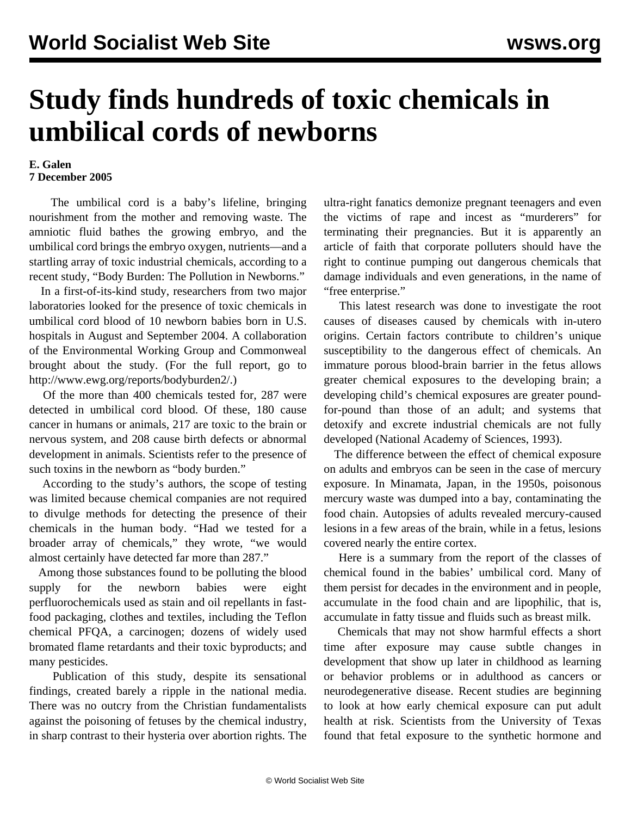## **Study finds hundreds of toxic chemicals in umbilical cords of newborns**

## **E. Galen 7 December 2005**

 The umbilical cord is a baby's lifeline, bringing nourishment from the mother and removing waste. The amniotic fluid bathes the growing embryo, and the umbilical cord brings the embryo oxygen, nutrients—and a startling array of toxic industrial chemicals, according to a recent study, "Body Burden: The Pollution in Newborns."

 In a first-of-its-kind study, researchers from two major laboratories looked for the presence of toxic chemicals in umbilical cord blood of 10 newborn babies born in U.S. hospitals in August and September 2004. A collaboration of the Environmental Working Group and Commonweal brought about the study. (For the full report, go to <http://www.ewg.org/reports/bodyburden2/>.)

 Of the more than 400 chemicals tested for, 287 were detected in umbilical cord blood. Of these, 180 cause cancer in humans or animals, 217 are toxic to the brain or nervous system, and 208 cause birth defects or abnormal development in animals. Scientists refer to the presence of such toxins in the newborn as "body burden."

 According to the study's authors, the scope of testing was limited because chemical companies are not required to divulge methods for detecting the presence of their chemicals in the human body. "Had we tested for a broader array of chemicals," they wrote, "we would almost certainly have detected far more than 287."

 Among those substances found to be polluting the blood supply for the newborn babies were eight perfluorochemicals used as stain and oil repellants in fastfood packaging, clothes and textiles, including the Teflon chemical PFQA, a carcinogen; dozens of widely used bromated flame retardants and their toxic byproducts; and many pesticides.

 Publication of this study, despite its sensational findings, created barely a ripple in the national media. There was no outcry from the Christian fundamentalists against the poisoning of fetuses by the chemical industry, in sharp contrast to their hysteria over abortion rights. The ultra-right fanatics demonize pregnant teenagers and even the victims of rape and incest as "murderers" for terminating their pregnancies. But it is apparently an article of faith that corporate polluters should have the right to continue pumping out dangerous chemicals that damage individuals and even generations, in the name of "free enterprise."

 This latest research was done to investigate the root causes of diseases caused by chemicals with in-utero origins. Certain factors contribute to children's unique susceptibility to the dangerous effect of chemicals. An immature porous blood-brain barrier in the fetus allows greater chemical exposures to the developing brain; a developing child's chemical exposures are greater poundfor-pound than those of an adult; and systems that detoxify and excrete industrial chemicals are not fully developed (National Academy of Sciences, 1993).

 The difference between the effect of chemical exposure on adults and embryos can be seen in the case of mercury exposure. In Minamata, Japan, in the 1950s, poisonous mercury waste was dumped into a bay, contaminating the food chain. Autopsies of adults revealed mercury-caused lesions in a few areas of the brain, while in a fetus, lesions covered nearly the entire cortex.

 Here is a summary from the report of the classes of chemical found in the babies' umbilical cord. Many of them persist for decades in the environment and in people, accumulate in the food chain and are lipophilic, that is, accumulate in fatty tissue and fluids such as breast milk.

 Chemicals that may not show harmful effects a short time after exposure may cause subtle changes in development that show up later in childhood as learning or behavior problems or in adulthood as cancers or neurodegenerative disease. Recent studies are beginning to look at how early chemical exposure can put adult health at risk. Scientists from the University of Texas found that fetal exposure to the synthetic hormone and